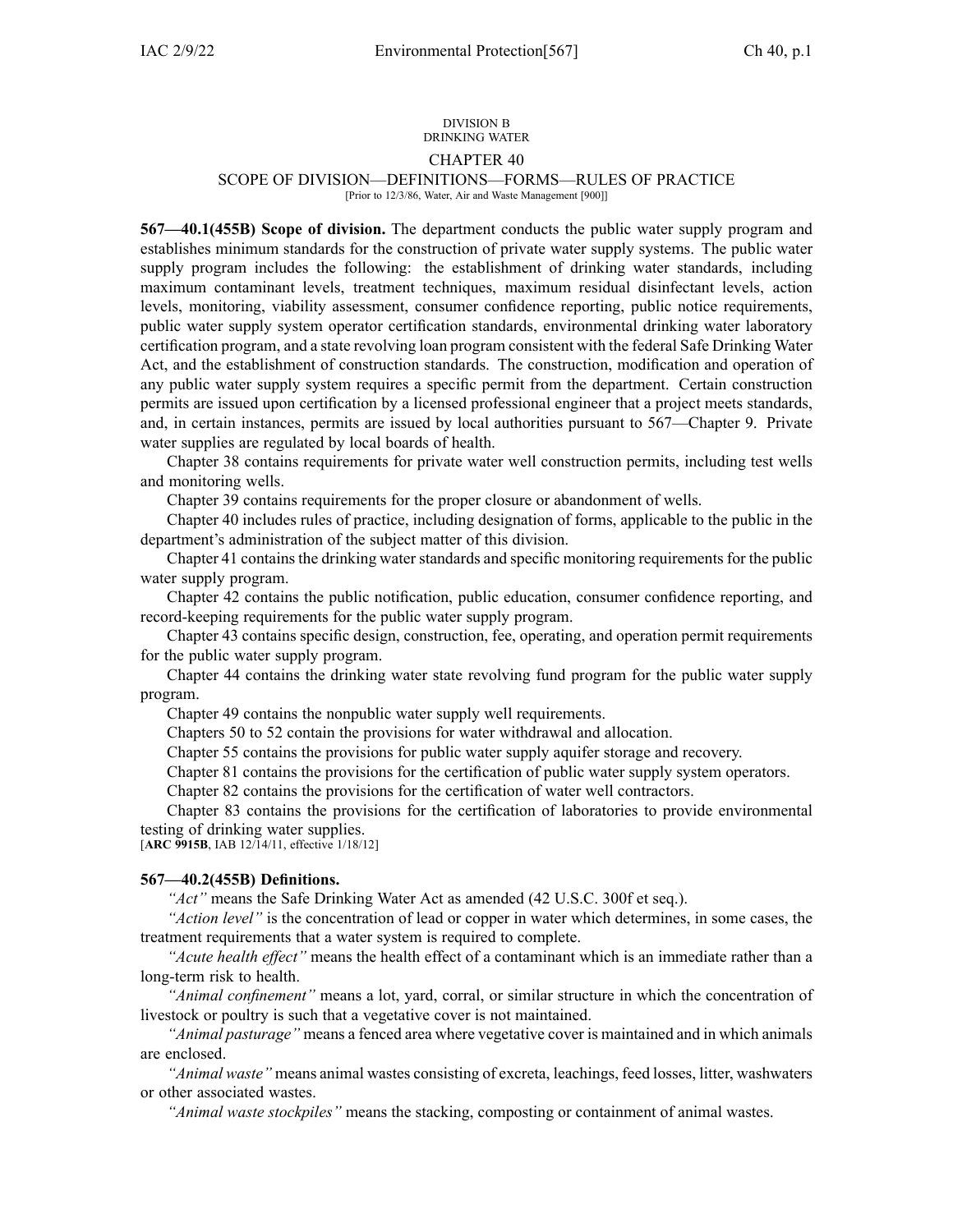#### DIVISION B DRINKING WATER

## CHAPTER 40

# SCOPE OF DIVISION—DEFINITIONS—FORMS—RULES OF PRACTICE

[Prior to 12/3/86, Water, Air and Waste Management [900]]

**567—40.1(455B) Scope of division.** The department conducts the public water supply program and establishes minimum standards for the construction of private water supply systems. The public water supply program includes the following: the establishment of drinking water standards, including maximum contaminant levels, treatment techniques, maximum residual disinfectant levels, action levels, monitoring, viability assessment, consumer confidence reporting, public notice requirements, public water supply system operator certification standards, environmental drinking water laboratory certification program, and <sup>a</sup> state revolving loan program consistent with the federal Safe Drinking Water Act, and the establishment of construction standards. The construction, modification and operation of any public water supply system requires <sup>a</sup> specific permit from the department. Certain construction permits are issued upon certification by <sup>a</sup> licensed professional engineer that <sup>a</sup> project meets standards, and, in certain instances, permits are issued by local authorities pursuan<sup>t</sup> to [567—Chapter](https://www.legis.iowa.gov/docs/iac/chapter/567.9.pdf) 9. Private water supplies are regulated by local boards of health.

Chapter [38](https://www.legis.iowa.gov/docs/iac/chapter/567.38.pdf) contains requirements for private water well construction permits, including test wells and monitoring wells.

Chapter 39 contains requirements for the proper closure or abandonment of wells.

Chapter [40](https://www.legis.iowa.gov/docs/iac/chapter/567.40.pdf) includes rules of practice, including designation of forms, applicable to the public in the department's administration of the subject matter of this division.

Chapter [41](https://www.legis.iowa.gov/docs/iac/chapter/567.41.pdf) contains the drinking water standards and specific monitoring requirements for the public water supply program.

Chapter [42](https://www.legis.iowa.gov/docs/iac/chapter/567.42.pdf) contains the public notification, public education, consumer confidence reporting, and record-keeping requirements for the public water supply program.

Chapter [43](https://www.legis.iowa.gov/docs/iac/chapter/567.43.pdf) contains specific design, construction, fee, operating, and operation permit requirements for the public water supply program.

Chapter [44](https://www.legis.iowa.gov/docs/iac/chapter/567.44.pdf) contains the drinking water state revolving fund program for the public water supply program.

Chapter [49](https://www.legis.iowa.gov/docs/iac/chapter/567.49.pdf) contains the nonpublic water supply well requirements.

Chapters [50](https://www.legis.iowa.gov/docs/iac/chapter/567.50.pdf) to 52 contain the provisions for water withdrawal and allocation.

Chapter [55](https://www.legis.iowa.gov/docs/iac/chapter/567.55.pdf) contains the provisions for public water supply aquifer storage and recovery.

Chapter [81](https://www.legis.iowa.gov/docs/iac/chapter/567.81.pdf) contains the provisions for the certification of public water supply system operators.

Chapter [82](https://www.legis.iowa.gov/docs/iac/chapter/567.82.pdf) contains the provisions for the certification of water well contractors.

Chapter [83](https://www.legis.iowa.gov/docs/iac/chapter/567.83.pdf) contains the provisions for the certification of laboratories to provide environmental testing of drinking water supplies.

[**ARC [9915B](https://www.legis.iowa.gov/docs/aco/arc/9915B.pdf)**, IAB 12/14/11, effective 1/18/12]

## **567—40.2(455B) Definitions.**

*"Act"* means the Safe Drinking Water Act as amended (42 U.S.C. 300f et seq.).

*"Action level"* is the concentration of lead or copper in water which determines, in some cases, the treatment requirements that <sup>a</sup> water system is required to complete.

*"Acute health effect"* means the health effect of <sup>a</sup> contaminant which is an immediate rather than <sup>a</sup> long-term risk to health.

*"Animal confinement"* means <sup>a</sup> lot, yard, corral, or similar structure in which the concentration of livestock or poultry is such that <sup>a</sup> vegetative cover is not maintained.

*"Animal pasturage"* means <sup>a</sup> fenced area where vegetative cover is maintained and in which animals are enclosed.

*"Animal waste"* means animal wastes consisting of excreta, leachings, feed losses, litter, washwaters or other associated wastes.

*"Animal waste stockpiles"* means the stacking, composting or containment of animal wastes.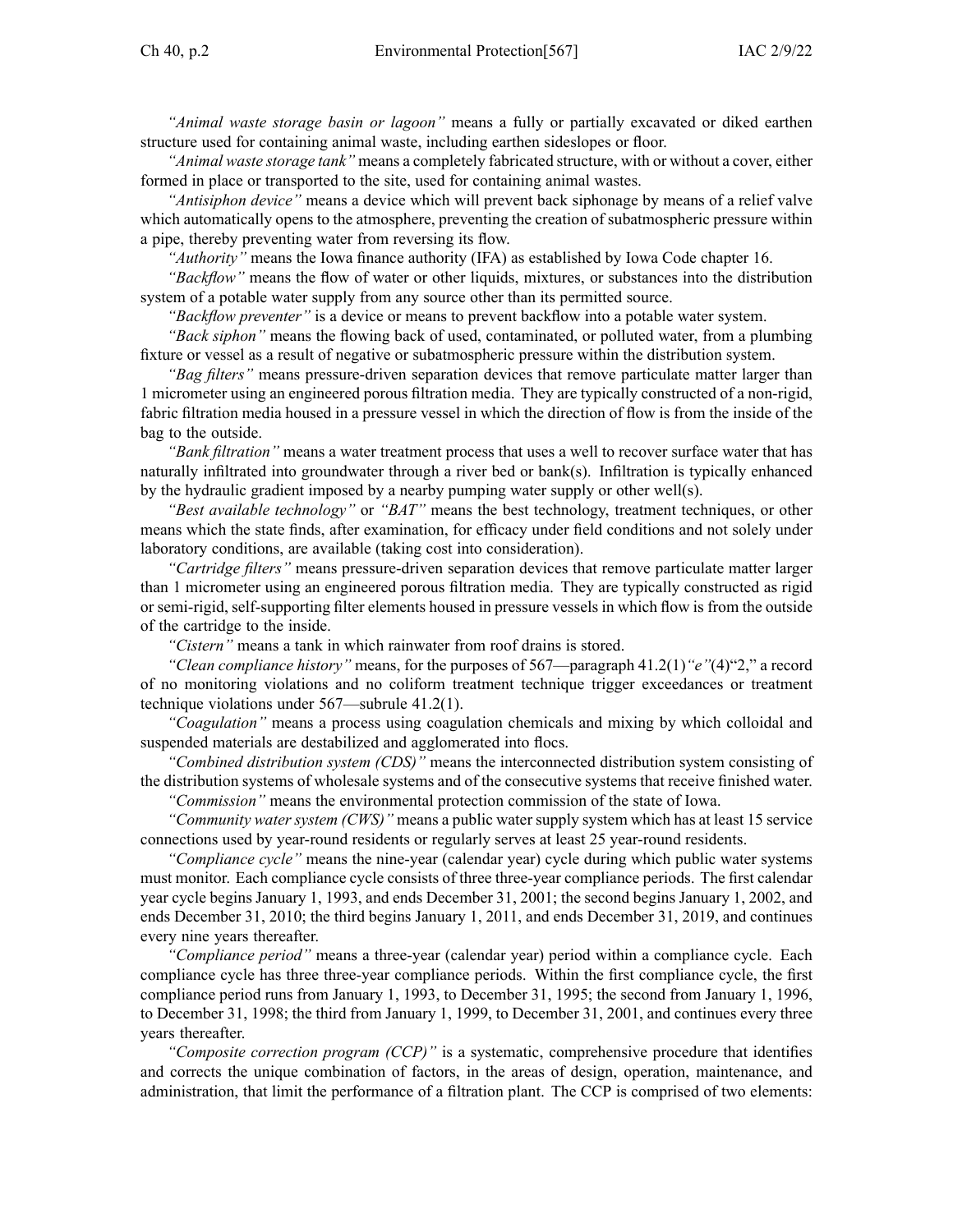*"Animal waste storage basin or lagoon"* means <sup>a</sup> fully or partially excavated or diked earthen structure used for containing animal waste, including earthen sideslopes or floor.

*"Animal waste storage tank"* means <sup>a</sup> completely fabricated structure, with or without <sup>a</sup> cover, either formed in place or transported to the site, used for containing animal wastes.

*"Antisiphon device"* means <sup>a</sup> device which will preven<sup>t</sup> back siphonage by means of <sup>a</sup> relief valve which automatically opens to the atmosphere, preventing the creation of subatmospheric pressure within <sup>a</sup> pipe, thereby preventing water from reversing its flow.

*"Authority"* means the Iowa finance authority (IFA) as established by Iowa Code chapter [16](https://www.legis.iowa.gov/docs/ico/chapter/16.pdf).

*"Backflow"* means the flow of water or other liquids, mixtures, or substances into the distribution system of <sup>a</sup> potable water supply from any source other than its permitted source.

*"Backflow preventer"* is <sup>a</sup> device or means to preven<sup>t</sup> backflow into <sup>a</sup> potable water system.

*"Back siphon"* means the flowing back of used, contaminated, or polluted water, from <sup>a</sup> plumbing fixture or vessel as <sup>a</sup> result of negative or subatmospheric pressure within the distribution system.

*"Bag filters"* means pressure-driven separation devices that remove particulate matter larger than 1 micrometer using an engineered porous filtration media. They are typically constructed of <sup>a</sup> non-rigid, fabric filtration media housed in <sup>a</sup> pressure vessel in which the direction of flow is from the inside of the bag to the outside.

*"Bank filtration"* means <sup>a</sup> water treatment process that uses <sup>a</sup> well to recover surface water that has naturally infiltrated into groundwater through <sup>a</sup> river bed or bank(s). Infiltration is typically enhanced by the hydraulic gradient imposed by <sup>a</sup> nearby pumping water supply or other well(s).

*"Best available technology"* or *"BAT"* means the best technology, treatment techniques, or other means which the state finds, after examination, for efficacy under field conditions and not solely under laboratory conditions, are available (taking cost into consideration).

*"Cartridge filters"* means pressure-driven separation devices that remove particulate matter larger than 1 micrometer using an engineered porous filtration media. They are typically constructed as rigid or semi-rigid, self-supporting filter elements housed in pressure vessels in which flow is from the outside of the cartridge to the inside.

*"Cistern"* means <sup>a</sup> tank in which rainwater from roof drains is stored.

*"Clean compliance history"* means, for the purposes of 567—paragraph 41.2(1)*"e"*(4)"2," <sup>a</sup> record of no monitoring violations and no coliform treatment technique trigger exceedances or treatment technique violations under 567—subrule 41.2(1).

*"Coagulation"* means <sup>a</sup> process using coagulation chemicals and mixing by which colloidal and suspended materials are destabilized and agglomerated into flocs.

*"Combined distribution system (CDS)"* means the interconnected distribution system consisting of the distribution systems of wholesale systems and of the consecutive systems that receive finished water.

*"Commission"* means the environmental protection commission of the state of Iowa.

*"Community water system (CWS)"* means <sup>a</sup> public water supply system which has at least 15 service connections used by year-round residents or regularly serves at least 25 year-round residents.

*"Compliance cycle"* means the nine-year (calendar year) cycle during which public water systems must monitor. Each compliance cycle consists of three three-year compliance periods. The first calendar year cycle begins January 1, 1993, and ends December 31, 2001; the second begins January 1, 2002, and ends December 31, 2010; the third begins January 1, 2011, and ends December 31, 2019, and continues every nine years thereafter.

*"Compliance period"* means <sup>a</sup> three-year (calendar year) period within <sup>a</sup> compliance cycle. Each compliance cycle has three three-year compliance periods. Within the first compliance cycle, the first compliance period runs from January 1, 1993, to December 31, 1995; the second from January 1, 1996, to December 31, 1998; the third from January 1, 1999, to December 31, 2001, and continues every three years thereafter.

*"Composite correction program (CCP)"* is <sup>a</sup> systematic, comprehensive procedure that identifies and corrects the unique combination of factors, in the areas of design, operation, maintenance, and administration, that limit the performance of <sup>a</sup> filtration plant. The CCP is comprised of two elements: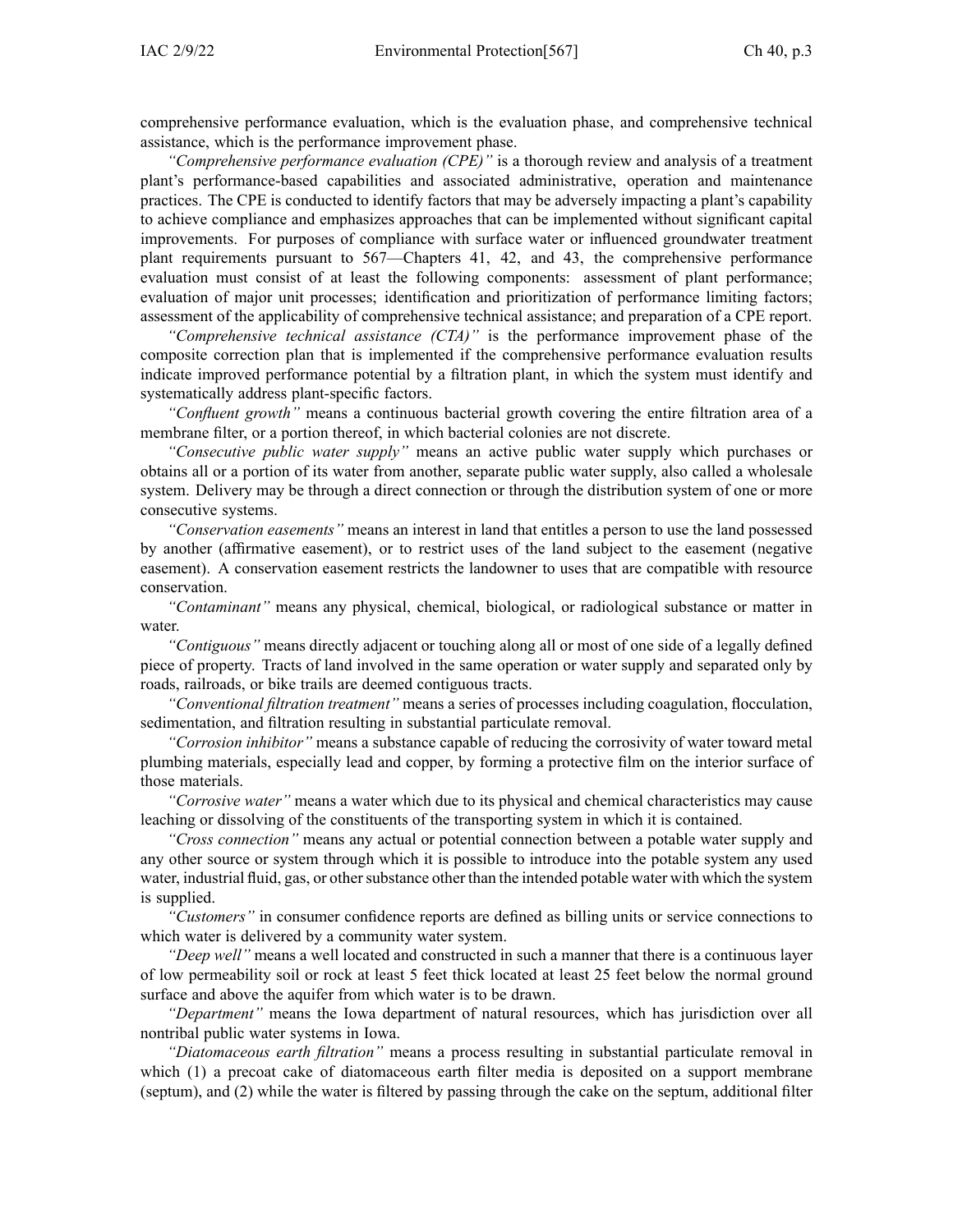comprehensive performance evaluation, which is the evaluation phase, and comprehensive technical assistance, which is the performance improvement phase.

*"Comprehensive performance evaluation (CPE)"* is <sup>a</sup> thorough review and analysis of <sup>a</sup> treatment plant's performance-based capabilities and associated administrative, operation and maintenance practices. The CPE is conducted to identify factors that may be adversely impacting <sup>a</sup> plant's capability to achieve compliance and emphasizes approaches that can be implemented without significant capital improvements. For purposes of compliance with surface water or influenced groundwater treatment plant requirements pursuan<sup>t</sup> to [567—Chapters](https://www.legis.iowa.gov/docs/iac/chapter/567.41.pdf) 41, [42](https://www.legis.iowa.gov/docs/iac/chapter/567.42.pdf), and [43](https://www.legis.iowa.gov/docs/iac/chapter/567.43.pdf), the comprehensive performance evaluation must consist of at least the following components: assessment of plant performance; evaluation of major unit processes; identification and prioritization of performance limiting factors; assessment of the applicability of comprehensive technical assistance; and preparation of <sup>a</sup> CPE report.

*"Comprehensive technical assistance (CTA)"* is the performance improvement phase of the composite correction plan that is implemented if the comprehensive performance evaluation results indicate improved performance potential by <sup>a</sup> filtration plant, in which the system must identify and systematically address plant-specific factors.

*"Confluent growth"* means <sup>a</sup> continuous bacterial growth covering the entire filtration area of <sup>a</sup> membrane filter, or <sup>a</sup> portion thereof, in which bacterial colonies are not discrete.

*"Consecutive public water supply"* means an active public water supply which purchases or obtains all or <sup>a</sup> portion of its water from another, separate public water supply, also called <sup>a</sup> wholesale system. Delivery may be through <sup>a</sup> direct connection or through the distribution system of one or more consecutive systems.

*"Conservation easements"* means an interest in land that entitles <sup>a</sup> person to use the land possessed by another (affirmative easement), or to restrict uses of the land subject to the easement (negative easement). A conservation easement restricts the landowner to uses that are compatible with resource conservation.

*"Contaminant"* means any physical, chemical, biological, or radiological substance or matter in water.

*"Contiguous"* means directly adjacent or touching along all or most of one side of <sup>a</sup> legally defined piece of property. Tracts of land involved in the same operation or water supply and separated only by roads, railroads, or bike trails are deemed contiguous tracts.

*"Conventional filtration treatment"* means <sup>a</sup> series of processes including coagulation, flocculation, sedimentation, and filtration resulting in substantial particulate removal.

*"Corrosion inhibitor"* means <sup>a</sup> substance capable of reducing the corrosivity of water toward metal plumbing materials, especially lead and copper, by forming <sup>a</sup> protective film on the interior surface of those materials.

*"Corrosive water"* means <sup>a</sup> water which due to its physical and chemical characteristics may cause leaching or dissolving of the constituents of the transporting system in which it is contained.

*"Cross connection"* means any actual or potential connection between <sup>a</sup> potable water supply and any other source or system through which it is possible to introduce into the potable system any used water, industrial fluid, gas, or other substance other than the intended potable water with which the system is supplied.

*"Customers"* in consumer confidence reports are defined as billing units or service connections to which water is delivered by <sup>a</sup> community water system.

*"Deep well"* means <sup>a</sup> well located and constructed in such <sup>a</sup> manner that there is <sup>a</sup> continuous layer of low permeability soil or rock at least 5 feet thick located at least 25 feet below the normal ground surface and above the aquifer from which water is to be drawn.

*"Department"* means the Iowa department of natural resources, which has jurisdiction over all nontribal public water systems in Iowa.

*"Diatomaceous earth filtration"* means <sup>a</sup> process resulting in substantial particulate removal in which (1) a precoat cake of diatomaceous earth filter media is deposited on a support membrane (septum), and (2) while the water is filtered by passing through the cake on the septum, additional filter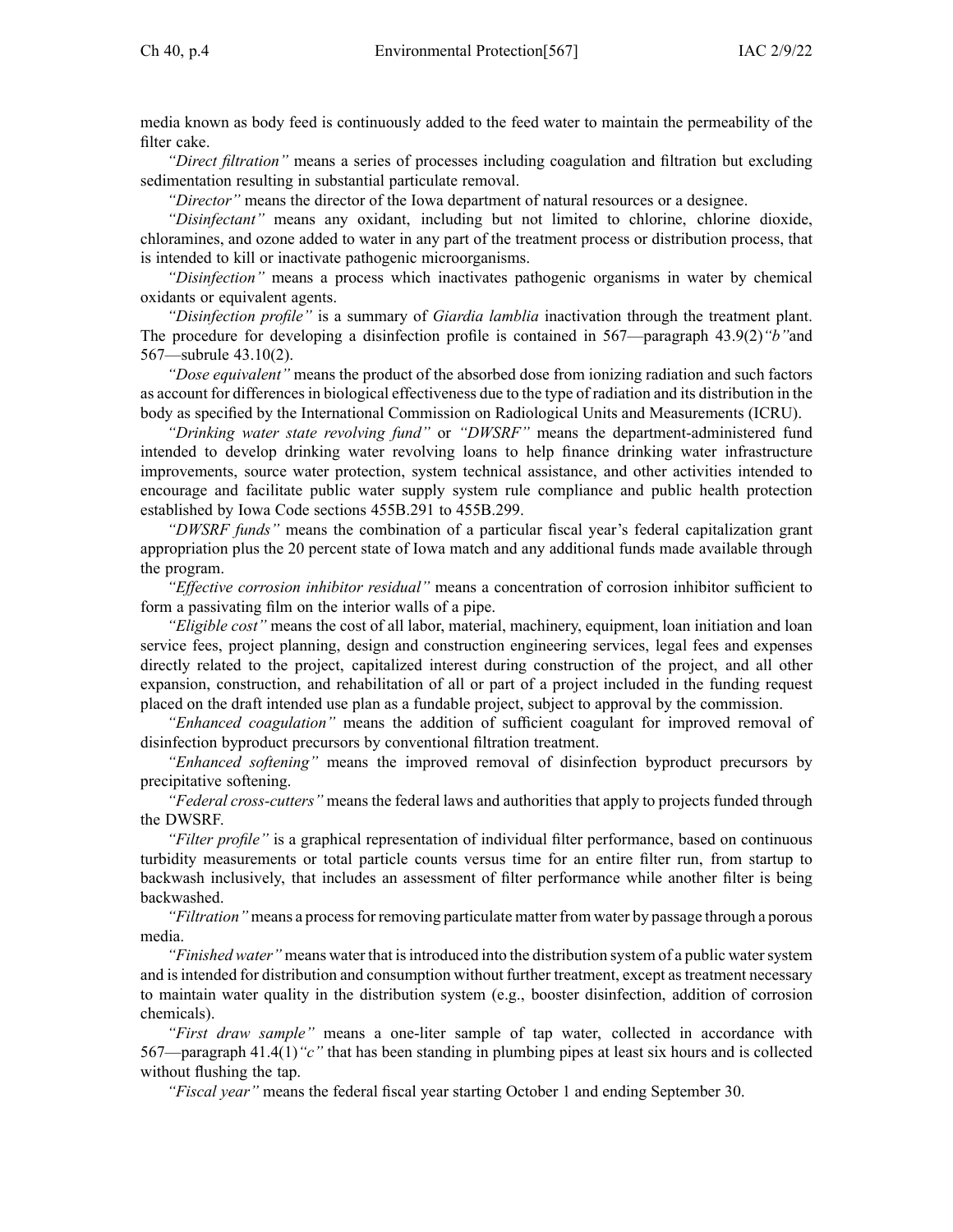media known as body feed is continuously added to the feed water to maintain the permeability of the filter cake.

*"Direct filtration"* means <sup>a</sup> series of processes including coagulation and filtration but excluding sedimentation resulting in substantial particulate removal.

*"Director"* means the director of the Iowa department of natural resources or <sup>a</sup> designee.

*"Disinfectant"* means any oxidant, including but not limited to chlorine, chlorine dioxide, chloramines, and ozone added to water in any par<sup>t</sup> of the treatment process or distribution process, that is intended to kill or inactivate pathogenic microorganisms.

*"Disinfection"* means <sup>a</sup> process which inactivates pathogenic organisms in water by chemical oxidants or equivalent agents.

*"Disinfection profile"* is <sup>a</sup> summary of *Giardia lamblia* inactivation through the treatment plant. The procedure for developing <sup>a</sup> disinfection profile is contained in 567—paragraph [43.9\(2\)](https://www.legis.iowa.gov/docs/iac/rule/567.43.9.pdf)*"b"*and [567—subrule](https://www.legis.iowa.gov/docs/iac/rule/567.43.10.pdf) 43.10(2).

*"Dose equivalent"* means the product of the absorbed dose from ionizing radiation and such factors as account for differencesin biological effectiveness due to the type of radiation and its distribution in the body as specified by the International Commission on Radiological Units and Measurements (ICRU).

*"Drinking water state revolving fund"* or *"DWSRF"* means the department-administered fund intended to develop drinking water revolving loans to help finance drinking water infrastructure improvements, source water protection, system technical assistance, and other activities intended to encourage and facilitate public water supply system rule compliance and public health protection established by Iowa Code sections 455B.291 to [455B.299](https://www.legis.iowa.gov/docs/ico/section/455B.291-299.pdf).

*"DWSRF funds"* means the combination of <sup>a</sup> particular fiscal year's federal capitalization gran<sup>t</sup> appropriation plus the 20 percen<sup>t</sup> state of Iowa match and any additional funds made available through the program.

*"Effective corrosion inhibitor residual"* means <sup>a</sup> concentration of corrosion inhibitor sufficient to form <sup>a</sup> passivating film on the interior walls of <sup>a</sup> pipe.

*"Eligible cost"* means the cost of all labor, material, machinery, equipment, loan initiation and loan service fees, project planning, design and construction engineering services, legal fees and expenses directly related to the project, capitalized interest during construction of the project, and all other expansion, construction, and rehabilitation of all or par<sup>t</sup> of <sup>a</sup> project included in the funding reques<sup>t</sup> placed on the draft intended use plan as <sup>a</sup> fundable project, subject to approval by the commission.

*"Enhanced coagulation"* means the addition of sufficient coagulant for improved removal of disinfection byproduct precursors by conventional filtration treatment.

*"Enhanced softening"* means the improved removal of disinfection byproduct precursors by precipitative softening.

*"Federal cross-cutters"* means the federal laws and authorities that apply to projects funded through the DWSRF.

*"Filter profile"* is <sup>a</sup> graphical representation of individual filter performance, based on continuous turbidity measurements or total particle counts versus time for an entire filter run, from startup to backwash inclusively, that includes an assessment of filter performance while another filter is being backwashed.

*"Filtration"* means <sup>a</sup> processfor removing particulate matter from water by passage through <sup>a</sup> porous media.

*"Finished water*" means water that is introduced into the distribution system of a public water system and is intended for distribution and consumption without further treatment, except as treatment necessary to maintain water quality in the distribution system (e.g., booster disinfection, addition of corrosion chemicals).

*"First draw sample"* means <sup>a</sup> one-liter sample of tap water, collected in accordance with 567—paragraph [41.4\(1\)](https://www.legis.iowa.gov/docs/iac/rule/567.41.4.pdf)*"c"* that has been standing in plumbing pipes at least six hours and is collected without flushing the tap.

*"Fiscal year"* means the federal fiscal year starting October 1 and ending September 30.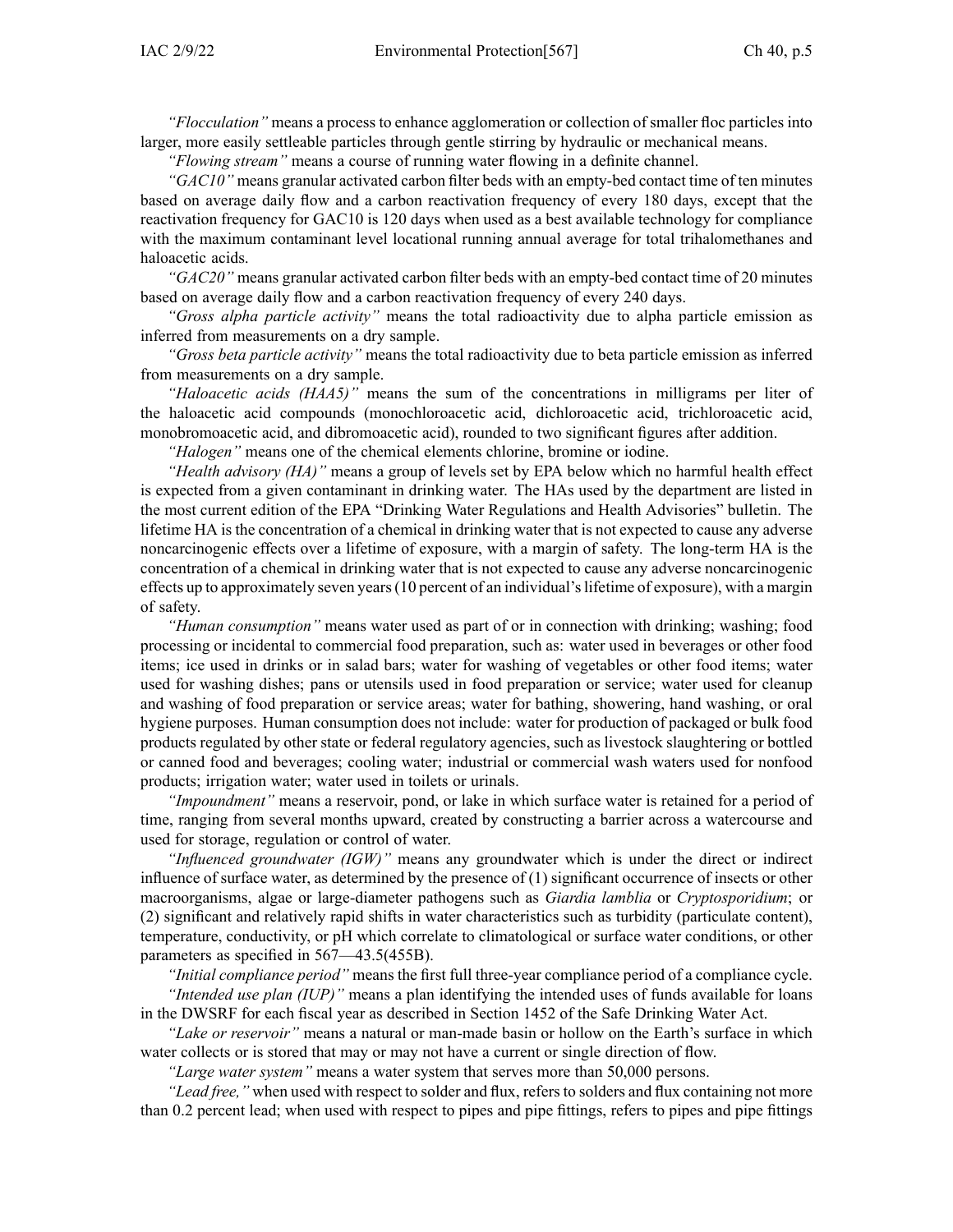*"Flocculation"* means <sup>a</sup> process to enhance agglomeration or collection of smaller floc particles into larger, more easily settleable particles through gentle stirring by hydraulic or mechanical means.

*"Flowing stream"* means <sup>a</sup> course of running water flowing in <sup>a</sup> definite channel.

*"GAC10"* means granular activated carbon filter beds with an empty-bed contact time of ten minutes based on average daily flow and <sup>a</sup> carbon reactivation frequency of every 180 days, excep<sup>t</sup> that the reactivation frequency for GAC10 is 120 days when used as <sup>a</sup> best available technology for compliance with the maximum contaminant level locational running annual average for total trihalomethanes and haloacetic acids.

*"GAC20"* means granular activated carbon filter beds with an empty-bed contact time of 20 minutes based on average daily flow and <sup>a</sup> carbon reactivation frequency of every 240 days.

*"Gross alpha particle activity"* means the total radioactivity due to alpha particle emission as inferred from measurements on <sup>a</sup> dry sample.

*"Gross beta particle activity"* means the total radioactivity due to beta particle emission as inferred from measurements on <sup>a</sup> dry sample.

*"Haloacetic acids (HAA5)"* means the sum of the concentrations in milligrams per liter of the haloacetic acid compounds (monochloroacetic acid, dichloroacetic acid, trichloroacetic acid, monobromoacetic acid, and dibromoacetic acid), rounded to two significant figures after addition.

*"Halogen"* means one of the chemical elements chlorine, bromine or iodine.

*"Health advisory (HA)"* means <sup>a</sup> group of levels set by EPA below which no harmful health effect is expected from <sup>a</sup> given contaminant in drinking water. The HAs used by the department are listed in the most current edition of the EPA "Drinking Water Regulations and Health Advisories" bulletin. The lifetime HA is the concentration of <sup>a</sup> chemical in drinking water that is not expected to cause any adverse noncarcinogenic effects over <sup>a</sup> lifetime of exposure, with <sup>a</sup> margin of safety. The long-term HA is the concentration of <sup>a</sup> chemical in drinking water that is not expected to cause any adverse noncarcinogenic effects up to approximately seven years(10 percen<sup>t</sup> of an individual'slifetime of exposure), with <sup>a</sup> margin of safety.

*"Human consumption"* means water used as par<sup>t</sup> of or in connection with drinking; washing; food processing or incidental to commercial food preparation, such as: water used in beverages or other food items; ice used in drinks or in salad bars; water for washing of vegetables or other food items; water used for washing dishes; pans or utensils used in food preparation or service; water used for cleanup and washing of food preparation or service areas; water for bathing, showering, hand washing, or oral hygiene purposes. Human consumption does not include: water for production of packaged or bulk food products regulated by other state or federal regulatory agencies, such as livestock slaughtering or bottled or canned food and beverages; cooling water; industrial or commercial wash waters used for nonfood products; irrigation water; water used in toilets or urinals.

*"Impoundment"* means <sup>a</sup> reservoir, pond, or lake in which surface water is retained for <sup>a</sup> period of time, ranging from several months upward, created by constructing <sup>a</sup> barrier across <sup>a</sup> watercourse and used for storage, regulation or control of water.

*"Influenced groundwater (IGW)"* means any groundwater which is under the direct or indirect influence of surface water, as determined by the presence of (1) significant occurrence of insects or other macroorganisms, algae or large-diameter pathogens such as *Giardia lamblia* or *Cryptosporidium*; or (2) significant and relatively rapid shifts in water characteristics such as turbidity (particulate content), temperature, conductivity, or pH which correlate to climatological or surface water conditions, or other parameters as specified in [567—43.5\(455B\)](https://www.legis.iowa.gov/docs/iac/rule/567.43.5.pdf).

*"Initial compliance period"* means the first full three-year compliance period of <sup>a</sup> compliance cycle. *"Intended use plan (IUP)"* means <sup>a</sup> plan identifying the intended uses of funds available for loans in the DWSRF for each fiscal year as described in Section 1452 of the Safe Drinking Water Act.

*"Lake or reservoir"* means <sup>a</sup> natural or man-made basin or hollow on the Earth's surface in which water collects or is stored that may or may not have <sup>a</sup> current or single direction of flow.

*"Large water system"* means <sup>a</sup> water system that serves more than 50,000 persons.

*"Lead free,"* when used with respect to solder and flux, refers to solders and flux containing not more than 0.2 percen<sup>t</sup> lead; when used with respec<sup>t</sup> to pipes and pipe fittings, refers to pipes and pipe fittings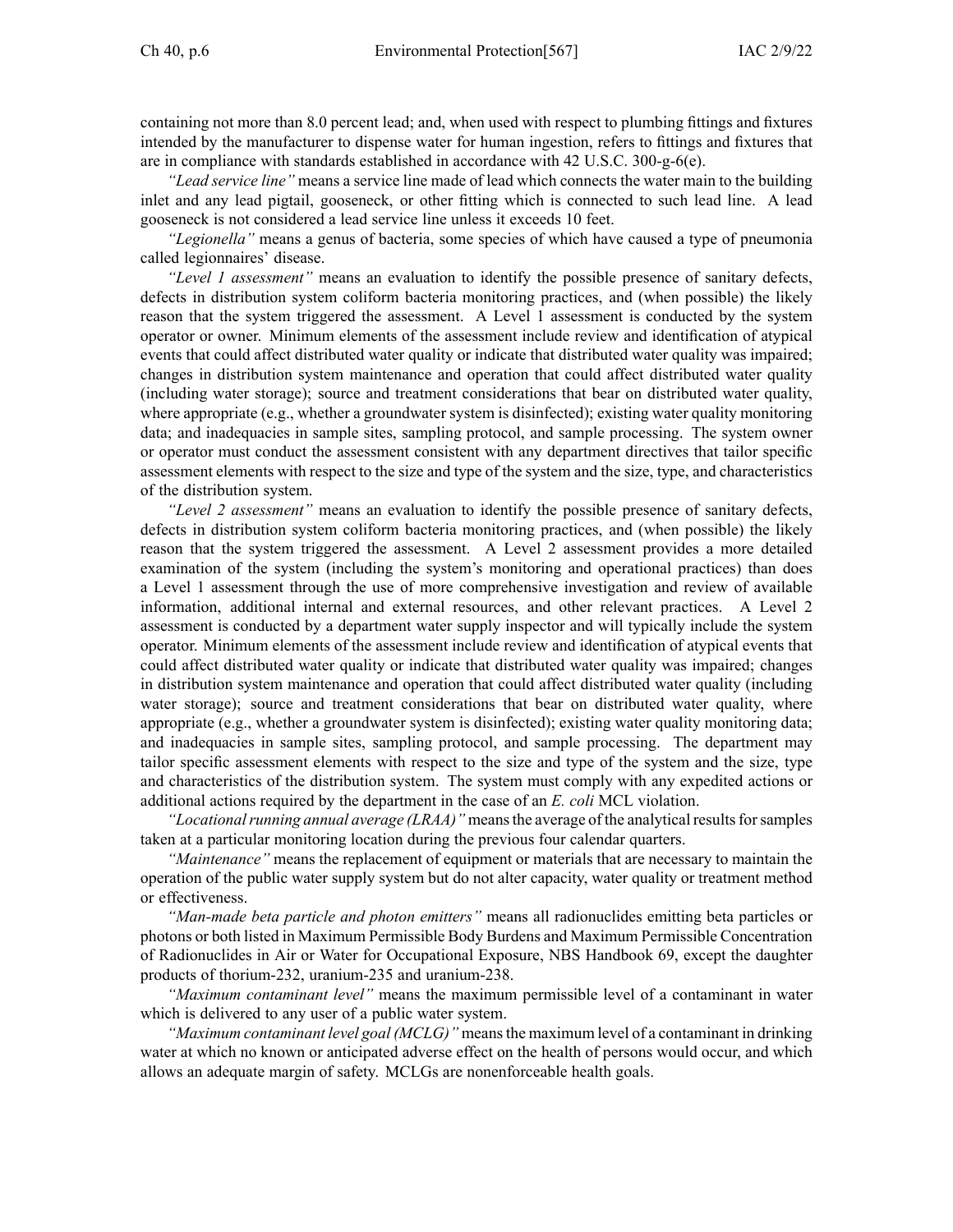containing not more than 8.0 percen<sup>t</sup> lead; and, when used with respec<sup>t</sup> to plumbing fittings and fixtures intended by the manufacturer to dispense water for human ingestion, refers to fittings and fixtures that are in compliance with standards established in accordance with 42 U.S.C. 300-g-6(e).

*"Lead service line"* means <sup>a</sup> service line made of lead which connects the water main to the building inlet and any lead pigtail, gooseneck, or other fitting which is connected to such lead line. A lead gooseneck is not considered <sup>a</sup> lead service line unless it exceeds 10 feet.

*"Legionella"* means <sup>a</sup> genus of bacteria, some species of which have caused <sup>a</sup> type of pneumonia called legionnaires' disease.

*"Level 1 assessment"* means an evaluation to identify the possible presence of sanitary defects, defects in distribution system coliform bacteria monitoring practices, and (when possible) the likely reason that the system triggered the assessment. A Level 1 assessment is conducted by the system operator or owner. Minimum elements of the assessment include review and identification of atypical events that could affect distributed water quality or indicate that distributed water quality was impaired; changes in distribution system maintenance and operation that could affect distributed water quality (including water storage); source and treatment considerations that bear on distributed water quality, where appropriate (e.g., whether <sup>a</sup> groundwater system is disinfected); existing water quality monitoring data; and inadequacies in sample sites, sampling protocol, and sample processing. The system owner or operator must conduct the assessment consistent with any department directives that tailor specific assessment elements with respec<sup>t</sup> to the size and type of the system and the size, type, and characteristics of the distribution system.

*"Level 2 assessment"* means an evaluation to identify the possible presence of sanitary defects, defects in distribution system coliform bacteria monitoring practices, and (when possible) the likely reason that the system triggered the assessment. A Level 2 assessment provides <sup>a</sup> more detailed examination of the system (including the system's monitoring and operational practices) than does <sup>a</sup> Level 1 assessment through the use of more comprehensive investigation and review of available information, additional internal and external resources, and other relevant practices. A Level 2 assessment is conducted by <sup>a</sup> department water supply inspector and will typically include the system operator. Minimum elements of the assessment include review and identification of atypical events that could affect distributed water quality or indicate that distributed water quality was impaired; changes in distribution system maintenance and operation that could affect distributed water quality (including water storage); source and treatment considerations that bear on distributed water quality, where appropriate (e.g., whether <sup>a</sup> groundwater system is disinfected); existing water quality monitoring data; and inadequacies in sample sites, sampling protocol, and sample processing. The department may tailor specific assessment elements with respec<sup>t</sup> to the size and type of the system and the size, type and characteristics of the distribution system. The system must comply with any expedited actions or additional actions required by the department in the case of an *E. coli* MCL violation.

*"Locational running annual average (LRAA)"* means the average of the analytical results for samples taken at <sup>a</sup> particular monitoring location during the previous four calendar quarters.

*"Maintenance"* means the replacement of equipment or materials that are necessary to maintain the operation of the public water supply system but do not alter capacity, water quality or treatment method or effectiveness.

*"Man-made beta particle and photon emitters"* means all radionuclides emitting beta particles or photons or both listed in Maximum Permissible Body Burdens and Maximum Permissible Concentration of Radionuclides in Air or Water for Occupational Exposure, NBS Handbook 69, excep<sup>t</sup> the daughter products of thorium-232, uranium-235 and uranium-238.

*"Maximum contaminant level"* means the maximum permissible level of <sup>a</sup> contaminant in water which is delivered to any user of <sup>a</sup> public water system.

*"Maximum contaminant level goal (MCLG)"* meansthe maximum level of <sup>a</sup> contaminant in drinking water at which no known or anticipated adverse effect on the health of persons would occur, and which allows an adequate margin of safety. MCLGs are nonenforceable health goals.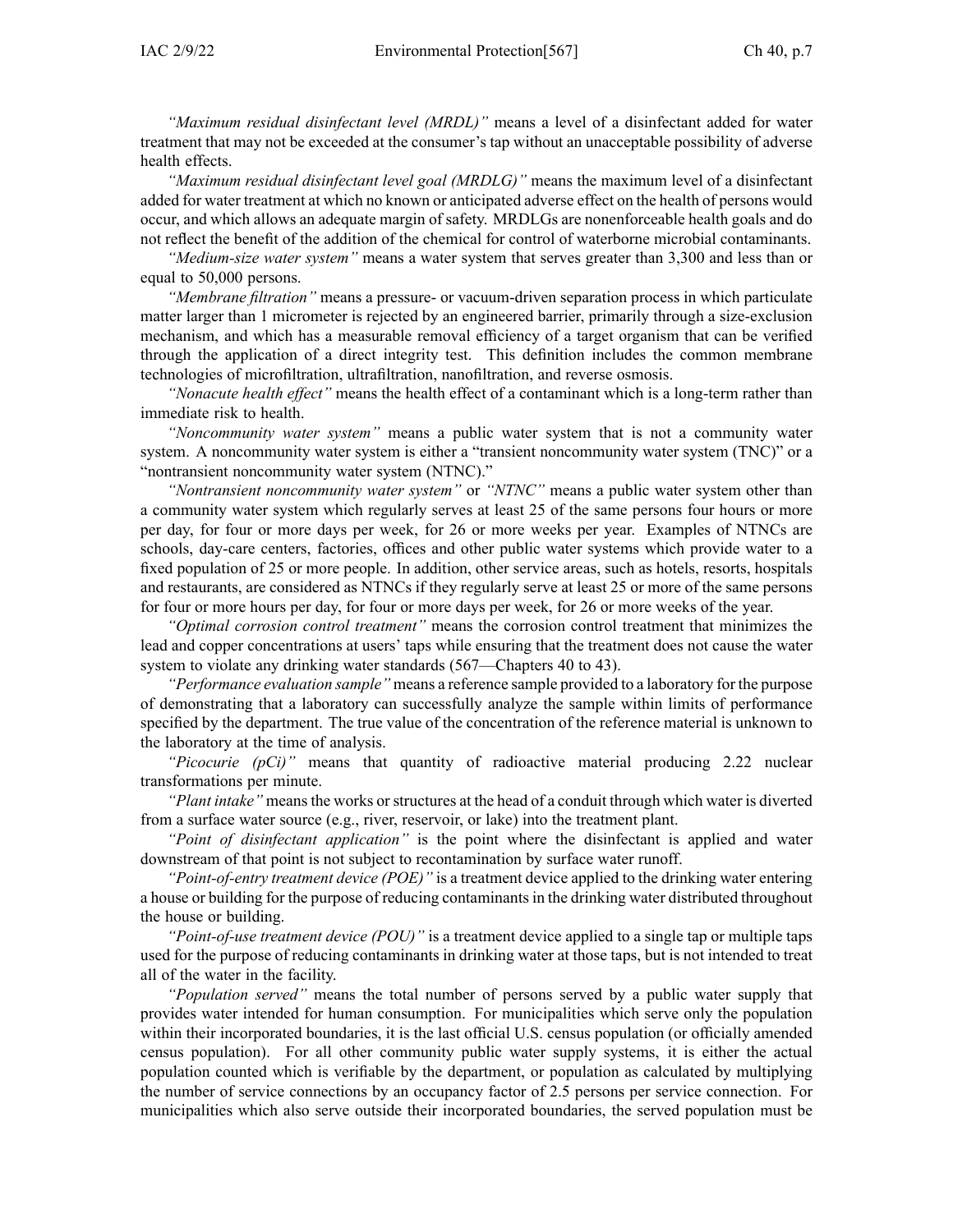*"Maximum residual disinfectant level (MRDL)"* means <sup>a</sup> level of <sup>a</sup> disinfectant added for water treatment that may not be exceeded at the consumer's tap without an unacceptable possibility of adverse health effects.

*"Maximum residual disinfectant level goal (MRDLG)"* means the maximum level of <sup>a</sup> disinfectant added for water treatment at which no known or anticipated adverse effect on the health of persons would occur, and which allows an adequate margin of safety. MRDLGs are nonenforceable health goals and do not reflect the benefit of the addition of the chemical for control of waterborne microbial contaminants.

*"Medium-size water system"* means <sup>a</sup> water system that serves greater than 3,300 and less than or equal to 50,000 persons.

*"Membrane filtration"* means <sup>a</sup> pressure- or vacuum-driven separation process in which particulate matter larger than 1 micrometer is rejected by an engineered barrier, primarily through <sup>a</sup> size-exclusion mechanism, and which has <sup>a</sup> measurable removal efficiency of <sup>a</sup> target organism that can be verified through the application of <sup>a</sup> direct integrity test. This definition includes the common membrane technologies of microfiltration, ultrafiltration, nanofiltration, and reverse osmosis.

*"Nonacute health effect"* means the health effect of <sup>a</sup> contaminant which is <sup>a</sup> long-term rather than immediate risk to health.

*"Noncommunity water system"* means <sup>a</sup> public water system that is not <sup>a</sup> community water system. A noncommunity water system is either <sup>a</sup> "transient noncommunity water system (TNC)" or <sup>a</sup> "nontransient noncommunity water system (NTNC)."

*"Nontransient noncommunity water system"* or *"NTNC"* means <sup>a</sup> public water system other than <sup>a</sup> community water system which regularly serves at least 25 of the same persons four hours or more per day, for four or more days per week, for 26 or more weeks per year. Examples of NTNCs are schools, day-care centers, factories, offices and other public water systems which provide water to <sup>a</sup> fixed population of 25 or more people. In addition, other service areas, such as hotels, resorts, hospitals and restaurants, are considered as NTNCs if they regularly serve at least 25 or more of the same persons for four or more hours per day, for four or more days per week, for 26 or more weeks of the year.

*"Optimal corrosion control treatment"* means the corrosion control treatment that minimizes the lead and copper concentrations at users' taps while ensuring that the treatment does not cause the water system to violate any drinking water standards [\(567—Chapters](https://www.legis.iowa.gov/docs/iac/chapter/567.40.pdf) 40 to [43](https://www.legis.iowa.gov/docs/iac/chapter/567.43.pdf)).

*"Performance evaluation sample"* means <sup>a</sup> reference sample provided to <sup>a</sup> laboratory for the purpose of demonstrating that <sup>a</sup> laboratory can successfully analyze the sample within limits of performance specified by the department. The true value of the concentration of the reference material is unknown to the laboratory at the time of analysis.

*"Picocurie (pCi)"* means that quantity of radioactive material producing 2.22 nuclear transformations per minute.

*"Plant intake"* meansthe works orstructures at the head of <sup>a</sup> conduit through which water is diverted from <sup>a</sup> surface water source (e.g., river, reservoir, or lake) into the treatment plant.

*"Point of disinfectant application"* is the point where the disinfectant is applied and water downstream of that point is not subject to recontamination by surface water runoff.

*"Point-of-entry treatment device (POE)"* is <sup>a</sup> treatment device applied to the drinking water entering a house or building for the purpose of reducing contaminants in the drinking water distributed throughout the house or building.

*"Point-of-use treatment device (POU)"* is <sup>a</sup> treatment device applied to <sup>a</sup> single tap or multiple taps used for the purpose of reducing contaminants in drinking water at those taps, but is not intended to treat all of the water in the facility.

*"Population served"* means the total number of persons served by <sup>a</sup> public water supply that provides water intended for human consumption. For municipalities which serve only the population within their incorporated boundaries, it is the last official U.S. census population (or officially amended census population). For all other community public water supply systems, it is either the actual population counted which is verifiable by the department, or population as calculated by multiplying the number of service connections by an occupancy factor of 2.5 persons per service connection. For municipalities which also serve outside their incorporated boundaries, the served population must be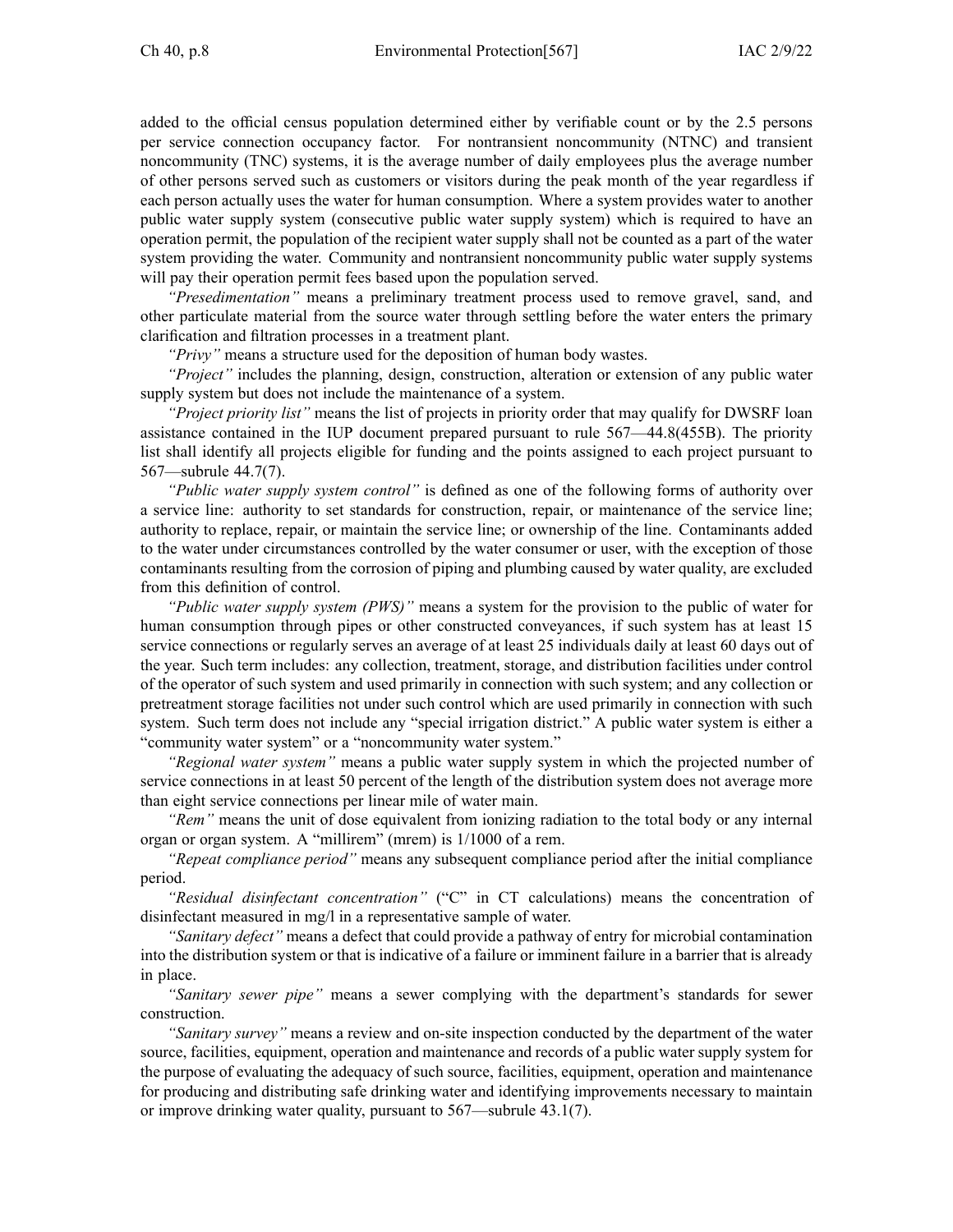added to the official census population determined either by verifiable count or by the 2.5 persons per service connection occupancy factor. For nontransient noncommunity (NTNC) and transient noncommunity (TNC) systems, it is the average number of daily employees plus the average number of other persons served such as customers or visitors during the peak month of the year regardless if each person actually uses the water for human consumption. Where <sup>a</sup> system provides water to another public water supply system (consecutive public water supply system) which is required to have an operation permit, the population of the recipient water supply shall not be counted as <sup>a</sup> par<sup>t</sup> of the water system providing the water. Community and nontransient noncommunity public water supply systems will pay their operation permit fees based upon the population served.

*"Presedimentation"* means <sup>a</sup> preliminary treatment process used to remove gravel, sand, and other particulate material from the source water through settling before the water enters the primary clarification and filtration processes in <sup>a</sup> treatment plant.

*"Privy"* means <sup>a</sup> structure used for the deposition of human body wastes.

*"Project"* includes the planning, design, construction, alteration or extension of any public water supply system but does not include the maintenance of <sup>a</sup> system.

*"Project priority list"* means the list of projects in priority order that may qualify for DWSRF loan assistance contained in the IUP document prepared pursuan<sup>t</sup> to rule [567—44.8\(455B\)](https://www.legis.iowa.gov/docs/iac/rule/567.44.8.pdf). The priority list shall identify all projects eligible for funding and the points assigned to each project pursuan<sup>t</sup> to [567—subrule](https://www.legis.iowa.gov/docs/iac/rule/567.44.7.pdf) 44.7(7).

*"Public water supply system control"* is defined as one of the following forms of authority over <sup>a</sup> service line: authority to set standards for construction, repair, or maintenance of the service line; authority to replace, repair, or maintain the service line; or ownership of the line. Contaminants added to the water under circumstances controlled by the water consumer or user, with the exception of those contaminants resulting from the corrosion of piping and plumbing caused by water quality, are excluded from this definition of control.

*"Public water supply system (PWS)"* means <sup>a</sup> system for the provision to the public of water for human consumption through pipes or other constructed conveyances, if such system has at least 15 service connections or regularly serves an average of at least 25 individuals daily at least 60 days out of the year. Such term includes: any collection, treatment, storage, and distribution facilities under control of the operator of such system and used primarily in connection with such system; and any collection or pretreatment storage facilities not under such control which are used primarily in connection with such system. Such term does not include any "special irrigation district." A public water system is either <sup>a</sup> "community water system" or <sup>a</sup> "noncommunity water system."

*"Regional water system"* means <sup>a</sup> public water supply system in which the projected number of service connections in at least 50 percen<sup>t</sup> of the length of the distribution system does not average more than eight service connections per linear mile of water main.

*"Rem"* means the unit of dose equivalent from ionizing radiation to the total body or any internal organ or organ system. A "millirem" (mrem) is 1/1000 of <sup>a</sup> rem.

*"Repeat compliance period"* means any subsequent compliance period after the initial compliance period.

*"Residual disinfectant concentration"* ("C" in CT calculations) means the concentration of disinfectant measured in mg/l in <sup>a</sup> representative sample of water.

*"Sanitary defect"* means <sup>a</sup> defect that could provide <sup>a</sup> pathway of entry for microbial contamination into the distribution system or that is indicative of <sup>a</sup> failure or imminent failure in <sup>a</sup> barrier that is already in place.

*"Sanitary sewer pipe"* means <sup>a</sup> sewer complying with the department's standards for sewer construction.

*"Sanitary survey"* means <sup>a</sup> review and on-site inspection conducted by the department of the water source, facilities, equipment, operation and maintenance and records of <sup>a</sup> public water supply system for the purpose of evaluating the adequacy of such source, facilities, equipment, operation and maintenance for producing and distributing safe drinking water and identifying improvements necessary to maintain or improve drinking water quality, pursuan<sup>t</sup> to 567—subrule 43.1(7).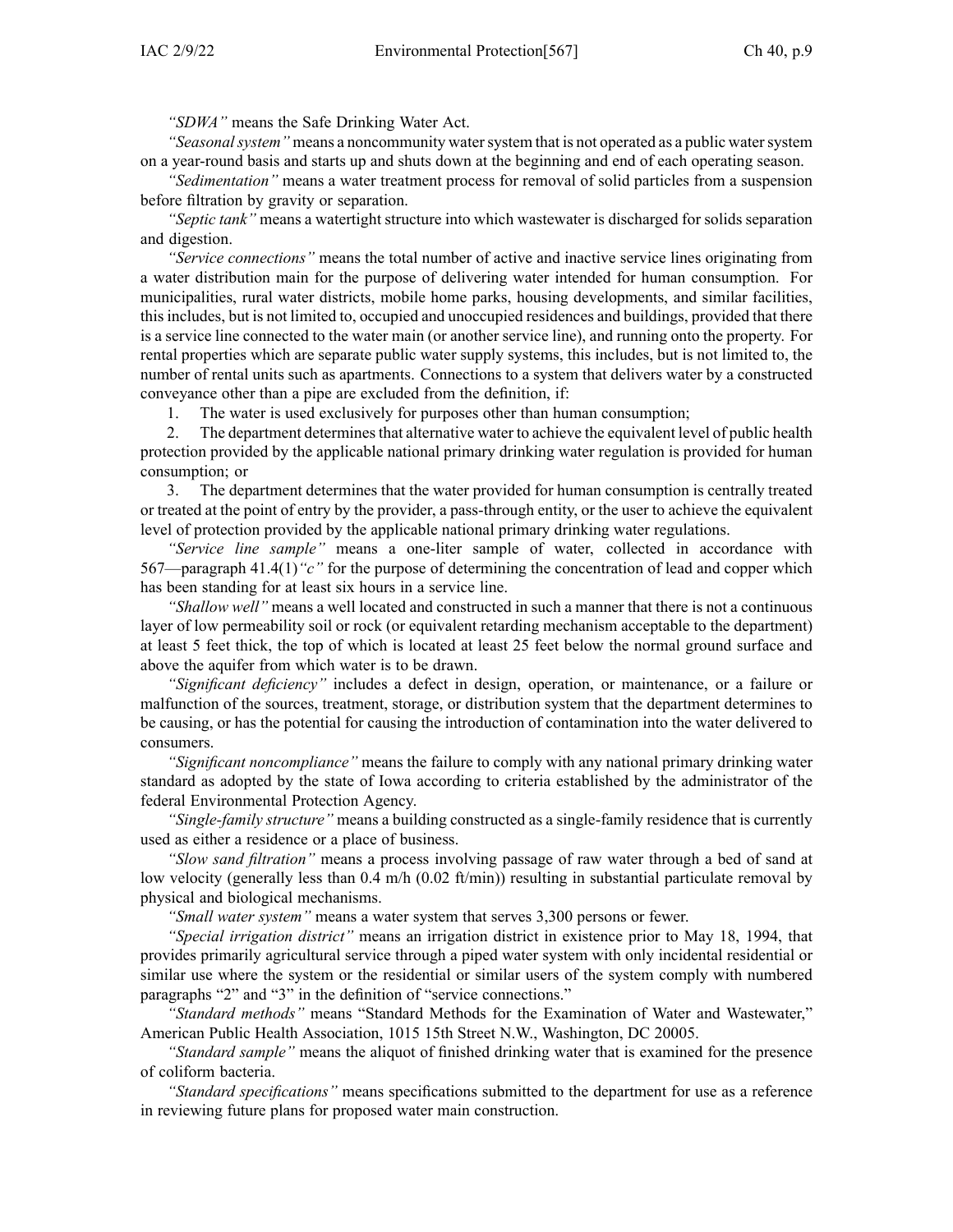*"SDWA"* means the Safe Drinking Water Act.

*"Seasonalsystem"* means <sup>a</sup> noncommunity watersystem that is not operated as <sup>a</sup> public watersystem on <sup>a</sup> year-round basis and starts up and shuts down at the beginning and end of each operating season.

*"Sedimentation"* means <sup>a</sup> water treatment process for removal of solid particles from <sup>a</sup> suspension before filtration by gravity or separation.

*"Septic tank"* means <sup>a</sup> watertight structure into which wastewater is discharged for solids separation and digestion.

*"Service connections"* means the total number of active and inactive service lines originating from <sup>a</sup> water distribution main for the purpose of delivering water intended for human consumption. For municipalities, rural water districts, mobile home parks, housing developments, and similar facilities, thisincludes, but is not limited to, occupied and unoccupied residences and buildings, provided that there is <sup>a</sup> service line connected to the water main (or another service line), and running onto the property. For rental properties which are separate public water supply systems, this includes, but is not limited to, the number of rental units such as apartments. Connections to <sup>a</sup> system that delivers water by <sup>a</sup> constructed conveyance other than <sup>a</sup> pipe are excluded from the definition, if:

1. The water is used exclusively for purposes other than human consumption;

2. The department determines that alternative water to achieve the equivalent level of public health protection provided by the applicable national primary drinking water regulation is provided for human consumption; or

3. The department determines that the water provided for human consumption is centrally treated or treated at the point of entry by the provider, <sup>a</sup> pass-through entity, or the user to achieve the equivalent level of protection provided by the applicable national primary drinking water regulations.

*"Service line sample"* means <sup>a</sup> one-liter sample of water, collected in accordance with 567—paragraph [41.4\(1\)](https://www.legis.iowa.gov/docs/iac/rule/567.41.4.pdf)*"c"* for the purpose of determining the concentration of lead and copper which has been standing for at least six hours in <sup>a</sup> service line.

*"Shallow well"* means <sup>a</sup> well located and constructed in such <sup>a</sup> manner that there is not <sup>a</sup> continuous layer of low permeability soil or rock (or equivalent retarding mechanism acceptable to the department) at least 5 feet thick, the top of which is located at least 25 feet below the normal ground surface and above the aquifer from which water is to be drawn.

*"Significant deficiency"* includes <sup>a</sup> defect in design, operation, or maintenance, or <sup>a</sup> failure or malfunction of the sources, treatment, storage, or distribution system that the department determines to be causing, or has the potential for causing the introduction of contamination into the water delivered to consumers.

*"Significant noncompliance"* means the failure to comply with any national primary drinking water standard as adopted by the state of Iowa according to criteria established by the administrator of the federal Environmental Protection Agency.

*"Single-family structure"* means <sup>a</sup> building constructed as <sup>a</sup> single-family residence that is currently used as either <sup>a</sup> residence or <sup>a</sup> place of business.

*"Slow sand filtration"* means <sup>a</sup> process involving passage of raw water through <sup>a</sup> bed of sand at low velocity (generally less than  $0.4$  m/h  $(0.02$  ft/min)) resulting in substantial particulate removal by physical and biological mechanisms.

*"Small water system"* means <sup>a</sup> water system that serves 3,300 persons or fewer.

*"Special irrigation district"* means an irrigation district in existence prior to May 18, 1994, that provides primarily agricultural service through <sup>a</sup> piped water system with only incidental residential or similar use where the system or the residential or similar users of the system comply with numbered paragraphs "2" and "3" in the definition of "service connections."

*"Standard methods"* means "Standard Methods for the Examination of Water and Wastewater," American Public Health Association, 1015 15th Street N.W., Washington, DC 20005.

*"Standard sample"* means the aliquot of finished drinking water that is examined for the presence of coliform bacteria.

*"Standard specifications"* means specifications submitted to the department for use as <sup>a</sup> reference in reviewing future plans for proposed water main construction.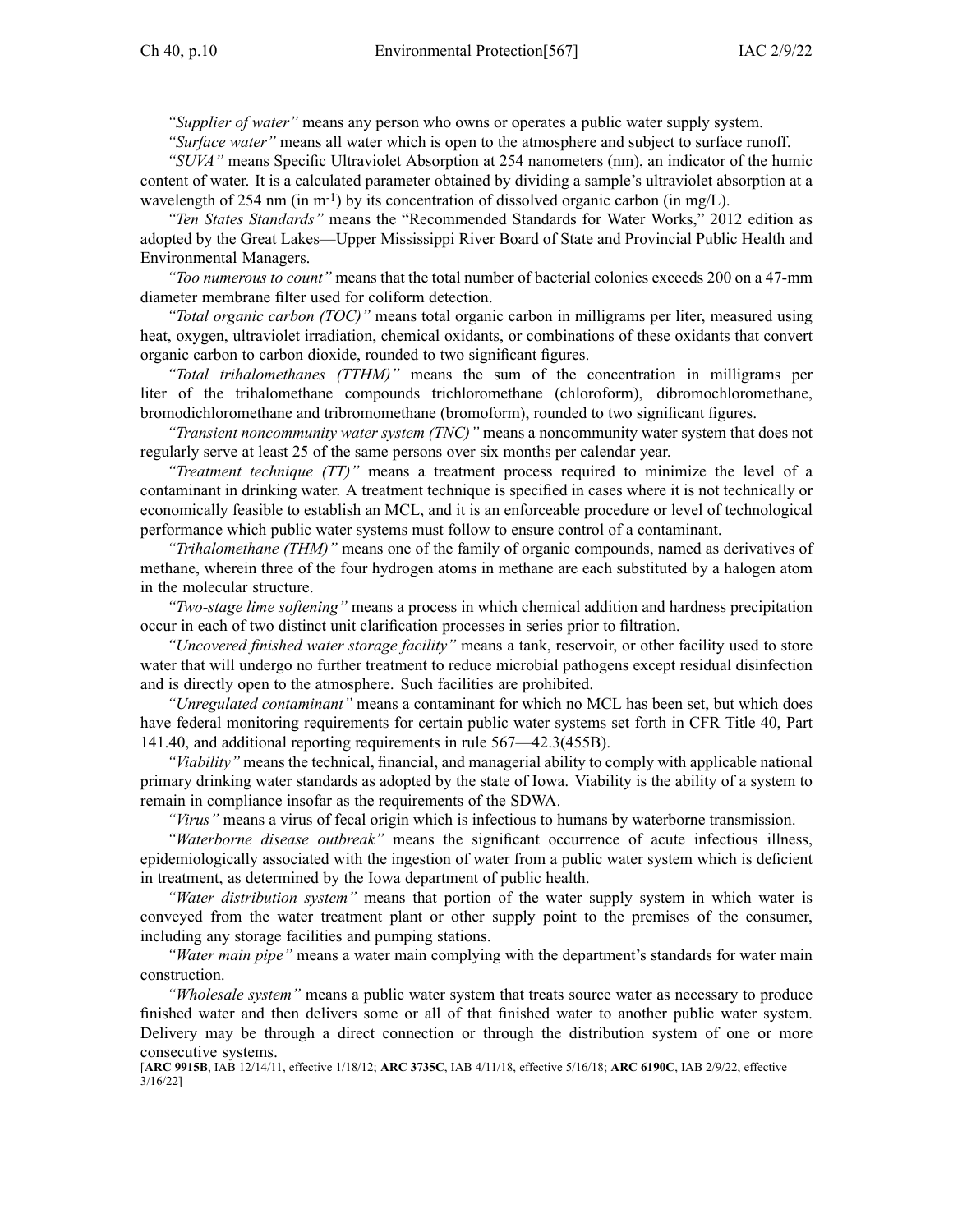*"Supplier of water"* means any person who owns or operates <sup>a</sup> public water supply system.

*"Surface water"* means all water which is open to the atmosphere and subject to surface runoff.

*"SUVA"* means Specific Ultraviolet Absorption at 254 nanometers (nm), an indicator of the humic content of water. It is <sup>a</sup> calculated parameter obtained by dividing <sup>a</sup> sample's ultraviolet absorption at <sup>a</sup> wavelength of 254 nm (in m<sup>-1</sup>) by its concentration of dissolved organic carbon (in mg/L).

*"Ten States Standards"* means the "Recommended Standards for Water Works," 2012 edition as adopted by the Great Lakes—Upper Mississippi River Board of State and Provincial Public Health and Environmental Managers.

*"Too numerous to count"* means that the total number of bacterial colonies exceeds 200 on <sup>a</sup> 47-mm diameter membrane filter used for coliform detection.

*"Total organic carbon (TOC)"* means total organic carbon in milligrams per liter, measured using heat, oxygen, ultraviolet irradiation, chemical oxidants, or combinations of these oxidants that convert organic carbon to carbon dioxide, rounded to two significant figures.

*"Total trihalomethanes (TTHM)"* means the sum of the concentration in milligrams per liter of the trihalomethane compounds trichloromethane (chloroform), dibromochloromethane, bromodichloromethane and tribromomethane (bromoform), rounded to two significant figures.

*"Transient noncommunity water system (TNC)"* means <sup>a</sup> noncommunity water system that does not regularly serve at least 25 of the same persons over six months per calendar year.

*"Treatment technique (TT)"* means <sup>a</sup> treatment process required to minimize the level of <sup>a</sup> contaminant in drinking water. A treatment technique is specified in cases where it is not technically or economically feasible to establish an MCL, and it is an enforceable procedure or level of technological performance which public water systems must follow to ensure control of <sup>a</sup> contaminant.

*"Trihalomethane (THM)"* means one of the family of organic compounds, named as derivatives of methane, wherein three of the four hydrogen atoms in methane are each substituted by <sup>a</sup> halogen atom in the molecular structure.

*"Two-stage lime softening"* means <sup>a</sup> process in which chemical addition and hardness precipitation occur in each of two distinct unit clarification processes in series prior to filtration.

*"Uncovered finished water storage facility"* means <sup>a</sup> tank, reservoir, or other facility used to store water that will undergo no further treatment to reduce microbial pathogens excep<sup>t</sup> residual disinfection and is directly open to the atmosphere. Such facilities are prohibited.

*"Unregulated contaminant"* means <sup>a</sup> contaminant for which no MCL has been set, but which does have federal monitoring requirements for certain public water systems set forth in CFR Title 40, Part 141.40, and additional reporting requirements in rule [567—42.3\(455B\)](https://www.legis.iowa.gov/docs/iac/rule/567.42.3.pdf).

*"Viability"* means the technical, financial, and managerial ability to comply with applicable national primary drinking water standards as adopted by the state of Iowa. Viability is the ability of <sup>a</sup> system to remain in compliance insofar as the requirements of the SDWA.

*"Virus"* means <sup>a</sup> virus of fecal origin which is infectious to humans by waterborne transmission.

*"Waterborne disease outbreak"* means the significant occurrence of acute infectious illness, epidemiologically associated with the ingestion of water from <sup>a</sup> public water system which is deficient in treatment, as determined by the Iowa department of public health.

*"Water distribution system"* means that portion of the water supply system in which water is conveyed from the water treatment plant or other supply point to the premises of the consumer, including any storage facilities and pumping stations.

*"Water main pipe"* means <sup>a</sup> water main complying with the department's standards for water main construction.

*"Wholesale system"* means <sup>a</sup> public water system that treats source water as necessary to produce finished water and then delivers some or all of that finished water to another public water system. Delivery may be through <sup>a</sup> direct connection or through the distribution system of one or more consecutive systems.

[**ARC [9915B](https://www.legis.iowa.gov/docs/aco/arc/9915B.pdf)**, IAB 12/14/11, effective 1/18/12; **ARC [3735C](https://www.legis.iowa.gov/docs/aco/arc/3735C.pdf)**, IAB 4/11/18, effective 5/16/18; **ARC [6190C](https://www.legis.iowa.gov/docs/aco/arc/6190C.pdf)**, IAB 2/9/22, effective 3/16/22]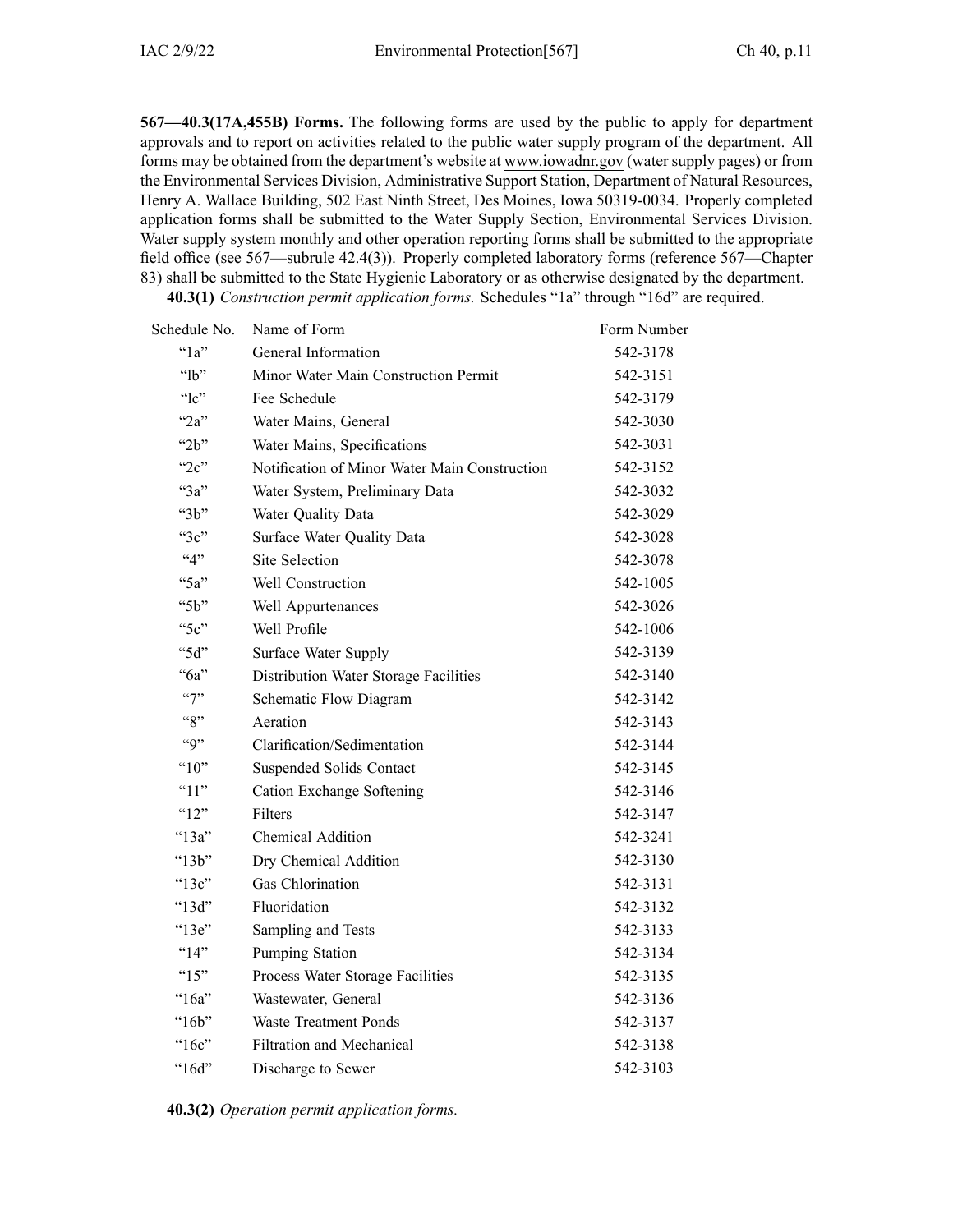**567—40.3(17A,455B) Forms.** The following forms are used by the public to apply for department approvals and to repor<sup>t</sup> on activities related to the public water supply program of the department. All forms may be obtained from the department's website at [www.iowadnr.gov](http://www.iowadnr.gov) (water supply pages) or from the Environmental Services Division, Administrative Support Station, Department of Natural Resources, Henry A. Wallace Building, 502 East Ninth Street, Des Moines, Iowa 50319-0034. Properly completed application forms shall be submitted to the Water Supply Section, Environmental Services Division. Water supply system monthly and other operation reporting forms shall be submitted to the appropriate field office (see [567—subrule](https://www.legis.iowa.gov/docs/iac/rule/567.42.4.pdf) 42.4(3)). Properly completed laboratory forms (reference [567—Chapter](https://www.legis.iowa.gov/docs/iac/chapter/567.83.pdf) [83\)](https://www.legis.iowa.gov/docs/iac/chapter/567.83.pdf) shall be submitted to the State Hygienic Laboratory or as otherwise designated by the department. **40.3(1)** *Construction permit application forms.* Schedules "1a" through "16d" are required.

Schedule No. Name of Form **Form Schedule No.** Porm Number "1a" General Information 542-3178 "lb" Minor Water Main Construction Permit 542-3151 "lc" Fee Schedule 542-3179 "2a" Water Mains, General 542-3030 "2b" Water Mains, Specifications 542-3031 "2c" Notification of Minor Water Main Construction 542-3152 "3a" Water System, Preliminary Data 542-3032 "3b" Water Quality Data 542-3029 "3c" Surface Water Quality Data 542-3028 "4" Site Selection 542-3078 "5a" Well Construction 542-1005 "5b" Well Appurtenances 542-3026 "5c" Well Profile 542-1006 "5d" Surface Water Supply 542-3139 "6a" Distribution Water Storage Facilities 542-3140 "7" Schematic Flow Diagram 542-3142 "8" Aeration 542-3143 "9" Clarification/Sedimentation 542-3144 "10" Suspended Solids Contact 542-3145 "11" Cation Exchange Softening 542-3146 " $12"$  Filters 542-3147 "13a" Chemical Addition 542-3241 "13b" Dry Chemical Addition 542-3130 "13c" Gas Chlorination 542-3131 "13d" Fluoridation 542-3132 "13e" Sampling and Tests 542-3133 "14" Pumping Station 542-3134 "15" Process Water Storage Facilities 542-3135 "16a" Wastewater, General 542-3136 "16b" Waste Treatment Ponds 542-3137 "16c" Filtration and Mechanical 542-3138 "16d" Discharge to Sewer 542-3103

**40.3(2)** *Operation permit application forms.*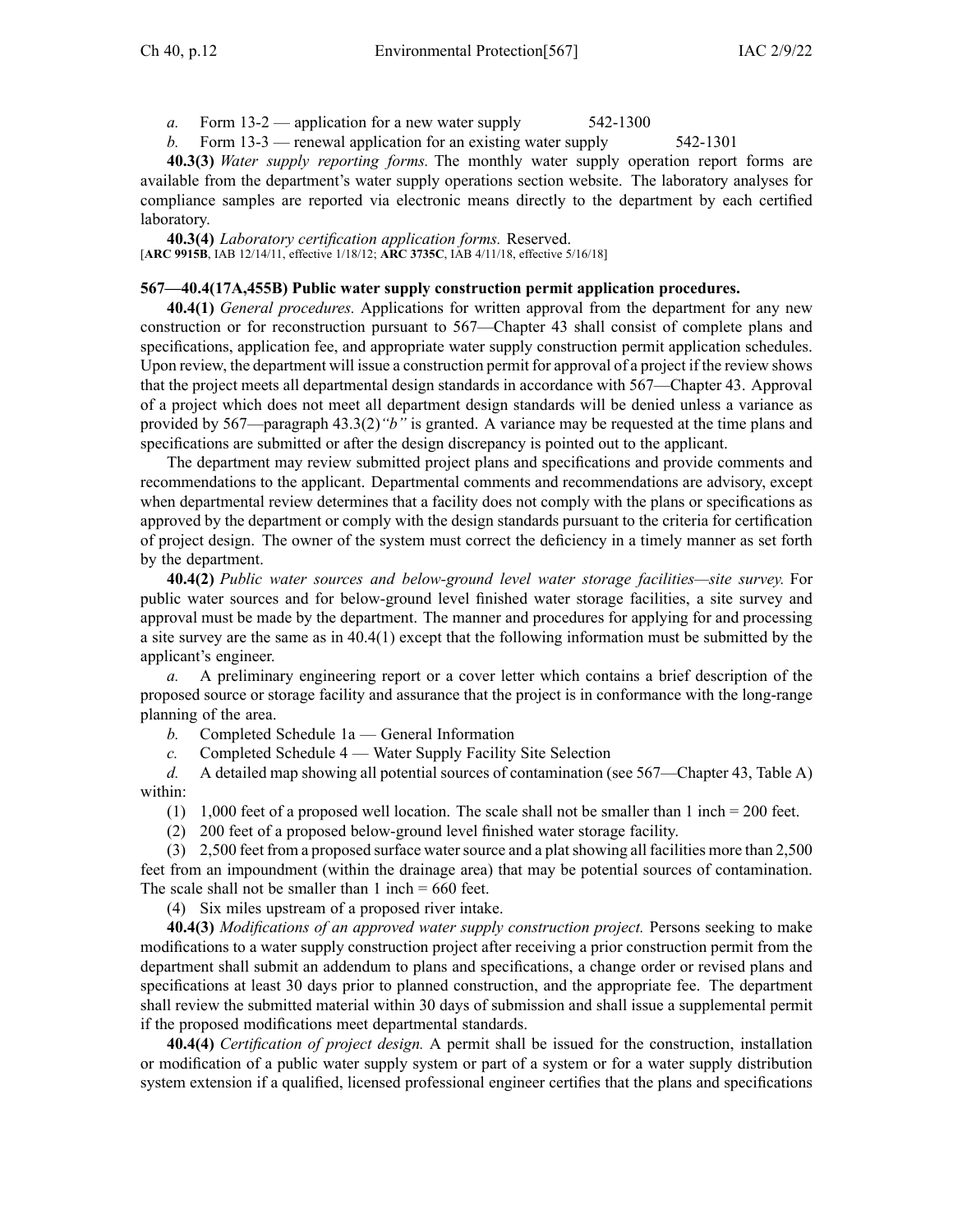*a.* Form 13-2 — application for <sup>a</sup> new water supply 542-1300

*b.* Form 13-3 — renewal application for an existing water supply 542-1301

**40.3(3)** *Water supply reporting forms.* The monthly water supply operation repor<sup>t</sup> forms are available from the department's water supply operations section website. The laboratory analyses for compliance samples are reported via electronic means directly to the department by each certified laboratory.

**40.3(4)** *Laboratory certification application forms.* Reserved. [**ARC [9915B](https://www.legis.iowa.gov/docs/aco/arc/9915B.pdf)**, IAB 12/14/11, effective 1/18/12; **ARC [3735C](https://www.legis.iowa.gov/docs/aco/arc/3735C.pdf)**, IAB 4/11/18, effective 5/16/18]

### **567—40.4(17A,455B) Public water supply construction permit application procedures.**

**40.4(1)** *General procedures.* Applications for written approval from the department for any new construction or for reconstruction pursuan<sup>t</sup> to [567—Chapter](https://www.legis.iowa.gov/docs/iac/chapter/567.43.pdf) 43 shall consist of complete plans and specifications, application fee, and appropriate water supply construction permit application schedules. Upon review, the department will issue <sup>a</sup> construction permit for approval of <sup>a</sup> project if the review shows that the project meets all departmental design standards in accordance with [567—Chapter](https://www.legis.iowa.gov/docs/iac/chapter/567.43.pdf) 43. Approval of <sup>a</sup> project which does not meet all department design standards will be denied unless <sup>a</sup> variance as provided by 567—paragraph [43.3\(2\)](https://www.legis.iowa.gov/docs/iac/rule/567.43.3.pdf)*"b"* is granted. A variance may be requested at the time plans and specifications are submitted or after the design discrepancy is pointed out to the applicant.

The department may review submitted project plans and specifications and provide comments and recommendations to the applicant. Departmental comments and recommendations are advisory, excep<sup>t</sup> when departmental review determines that <sup>a</sup> facility does not comply with the plans or specifications as approved by the department or comply with the design standards pursuan<sup>t</sup> to the criteria for certification of project design. The owner of the system must correct the deficiency in <sup>a</sup> timely manner as set forth by the department.

**40.4(2)** *Public water sources and below-ground level water storage facilities—site survey.* For public water sources and for below-ground level finished water storage facilities, <sup>a</sup> site survey and approval must be made by the department. The manner and procedures for applying for and processing <sup>a</sup> site survey are the same as in [40.4\(1\)](https://www.legis.iowa.gov/docs/iac/rule/567.40.4.pdf) excep<sup>t</sup> that the following information must be submitted by the applicant's engineer.

*a.* A preliminary engineering repor<sup>t</sup> or <sup>a</sup> cover letter which contains <sup>a</sup> brief description of the proposed source or storage facility and assurance that the project is in conformance with the long-range planning of the area.

*b.* Completed Schedule 1a — General Information

*c.* Completed Schedule 4 — Water Supply Facility Site Selection

*d.* A detailed map showing all potential sources of contamination (see [567—Chapter](https://www.legis.iowa.gov/docs/iac/chapter/567.43.pdf) 43, Table A) within:

(1) 1,000 feet of <sup>a</sup> proposed well location. The scale shall not be smaller than 1 inch <sup>=</sup> 200 feet.

(2) 200 feet of <sup>a</sup> proposed below-ground level finished water storage facility.

(3) 2,500 feet from <sup>a</sup> proposed surface watersource and <sup>a</sup> platshowing all facilities more than 2,500 feet from an impoundment (within the drainage area) that may be potential sources of contamination. The scale shall not be smaller than  $1$  inch  $= 660$  feet.

(4) Six miles upstream of <sup>a</sup> proposed river intake.

**40.4(3)** *Modifications of an approved water supply construction project.* Persons seeking to make modifications to <sup>a</sup> water supply construction project after receiving <sup>a</sup> prior construction permit from the department shall submit an addendum to plans and specifications, <sup>a</sup> change order or revised plans and specifications at least 30 days prior to planned construction, and the appropriate fee. The department shall review the submitted material within 30 days of submission and shall issue <sup>a</sup> supplemental permit if the proposed modifications meet departmental standards.

**40.4(4)** *Certification of project design.* A permit shall be issued for the construction, installation or modification of <sup>a</sup> public water supply system or par<sup>t</sup> of <sup>a</sup> system or for <sup>a</sup> water supply distribution system extension if <sup>a</sup> qualified, licensed professional engineer certifies that the plans and specifications